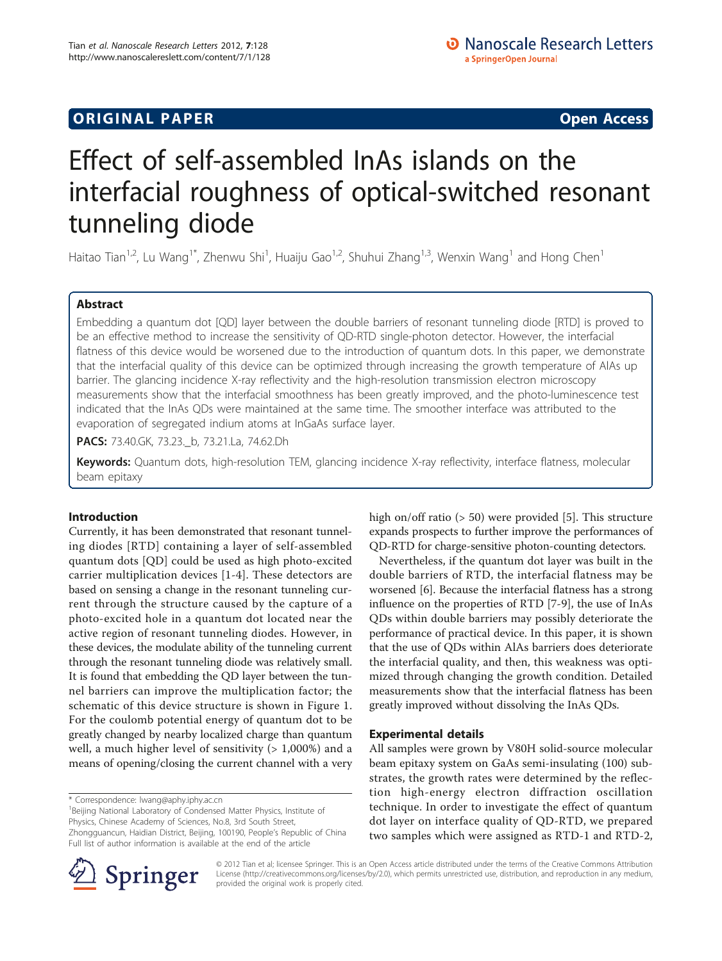## **ORIGINAL PAPER** And the second control of the second control of the second control of the second control of the second control of the second control of the second control of the second control of the second control of the

# Effect of self-assembled InAs islands on the interfacial roughness of optical-switched resonant tunneling diode

Haitao Tian $^{1,2}$ , Lu Wang $^{1*}$ , Zhenwu Shi $^{1}$ , Huaiju Gao $^{1,2}$ , Shuhui Zhang $^{1,3}$ , Wenxin Wang $^{1}$  and Hong Chen $^{1}$ 

## Abstract

Embedding a quantum dot [QD] layer between the double barriers of resonant tunneling diode [RTD] is proved to be an effective method to increase the sensitivity of QD-RTD single-photon detector. However, the interfacial flatness of this device would be worsened due to the introduction of quantum dots. In this paper, we demonstrate that the interfacial quality of this device can be optimized through increasing the growth temperature of AlAs up barrier. The glancing incidence X-ray reflectivity and the high-resolution transmission electron microscopy measurements show that the interfacial smoothness has been greatly improved, and the photo-luminescence test indicated that the InAs QDs were maintained at the same time. The smoother interface was attributed to the evaporation of segregated indium atoms at InGaAs surface layer.

PACS: 73.40.GK, 73.23. b, 73.21.La, 74.62.Dh

Keywords: Quantum dots, high-resolution TEM, glancing incidence X-ray reflectivity, interface flatness, molecular beam epitaxy

## Introduction

Currently, it has been demonstrated that resonant tunneling diodes [RTD] containing a layer of self-assembled quantum dots [QD] could be used as high photo-excited carrier multiplication devices [[1-4\]](#page-4-0). These detectors are based on sensing a change in the resonant tunneling current through the structure caused by the capture of a photo-excited hole in a quantum dot located near the active region of resonant tunneling diodes. However, in these devices, the modulate ability of the tunneling current through the resonant tunneling diode was relatively small. It is found that embedding the QD layer between the tunnel barriers can improve the multiplication factor; the schematic of this device structure is shown in Figure [1](#page-1-0). For the coulomb potential energy of quantum dot to be greatly changed by nearby localized charge than quantum well, a much higher level of sensitivity  $(> 1,000\%)$  and a means of opening/closing the current channel with a very

\* Correspondence: [lwang@aphy.iphy.ac.cn](mailto:lwang@aphy.iphy.ac.cn)

<sup>1</sup>Beijing National Laboratory of Condensed Matter Physics, Institute of Physics, Chinese Academy of Sciences, No.8, 3rd South Street, Zhongguancun, Haidian District, Beijing, 100190, People's Republic of China

Full list of author information is available at the end of the article

high on/off ratio (> 50) were provided [\[5](#page-4-0)]. This structure expands prospects to further improve the performances of QD-RTD for charge-sensitive photon-counting detectors.

Nevertheless, if the quantum dot layer was built in the double barriers of RTD, the interfacial flatness may be worsened [\[6](#page-4-0)]. Because the interfacial flatness has a strong influence on the properties of RTD [[7-9](#page-4-0)], the use of InAs QDs within double barriers may possibly deteriorate the performance of practical device. In this paper, it is shown that the use of QDs within AlAs barriers does deteriorate the interfacial quality, and then, this weakness was optimized through changing the growth condition. Detailed measurements show that the interfacial flatness has been greatly improved without dissolving the InAs QDs.

## Experimental details

All samples were grown by V80H solid-source molecular beam epitaxy system on GaAs semi-insulating (100) substrates, the growth rates were determined by the reflection high-energy electron diffraction oscillation technique. In order to investigate the effect of quantum dot layer on interface quality of QD-RTD, we prepared two samples which were assigned as RTD-1 and RTD-2,



© 2012 Tian et al; licensee Springer. This is an Open Access article distributed under the terms of the Creative Commons Attribution License [\(http://creativecommons.org/licenses/by/2.0](http://creativecommons.org/licenses/by/2.0)), which permits unrestricted use, distribution, and reproduction in any medium, provided the original work is properly cited.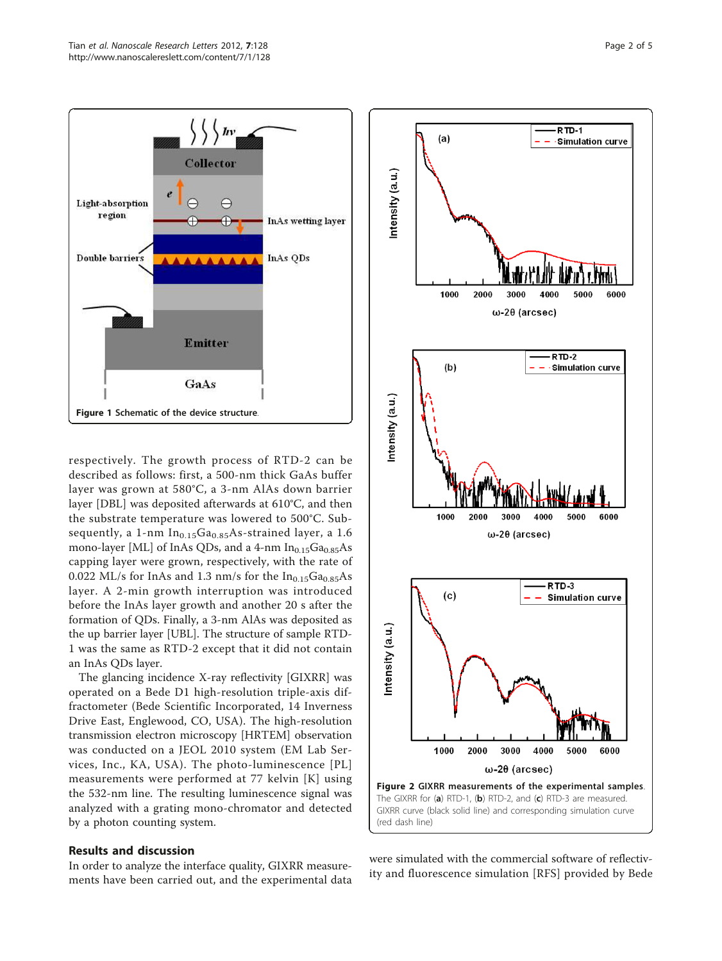<span id="page-1-0"></span>

respectively. The growth process of RTD-2 can be described as follows: first, a 500-nm thick GaAs buffer layer was grown at 580°C, a 3-nm AlAs down barrier layer [DBL] was deposited afterwards at 610°C, and then the substrate temperature was lowered to 500°C. Subsequently, a 1-nm  $In<sub>0.15</sub>Ga<sub>0.85</sub>As-strained layer, a 1.6$ mono-layer [ML] of InAs QDs, and a 4-nm  $In<sub>0.15</sub>Ga<sub>0.85</sub>As$ capping layer were grown, respectively, with the rate of 0.022 ML/s for InAs and 1.3 nm/s for the  $In<sub>0.15</sub>Ga<sub>0.85</sub>As$ layer. A 2-min growth interruption was introduced before the InAs layer growth and another 20 s after the formation of QDs. Finally, a 3-nm AlAs was deposited as the up barrier layer [UBL]. The structure of sample RTD-1 was the same as RTD-2 except that it did not contain an InAs QDs layer.

The glancing incidence X-ray reflectivity [GIXRR] was operated on a Bede D1 high-resolution triple-axis diffractometer (Bede Scientific Incorporated, 14 Inverness Drive East, Englewood, CO, USA). The high-resolution transmission electron microscopy [HRTEM] observation was conducted on a JEOL 2010 system (EM Lab Services, Inc., KA, USA). The photo-luminescence [PL] measurements were performed at 77 kelvin [K] using the 532-nm line. The resulting luminescence signal was analyzed with a grating mono-chromator and detected by a photon counting system.

## Results and discussion

In order to analyze the interface quality, GIXRR measurements have been carried out, and the experimental data



were simulated with the commercial software of reflectivity and fluorescence simulation [RFS] provided by Bede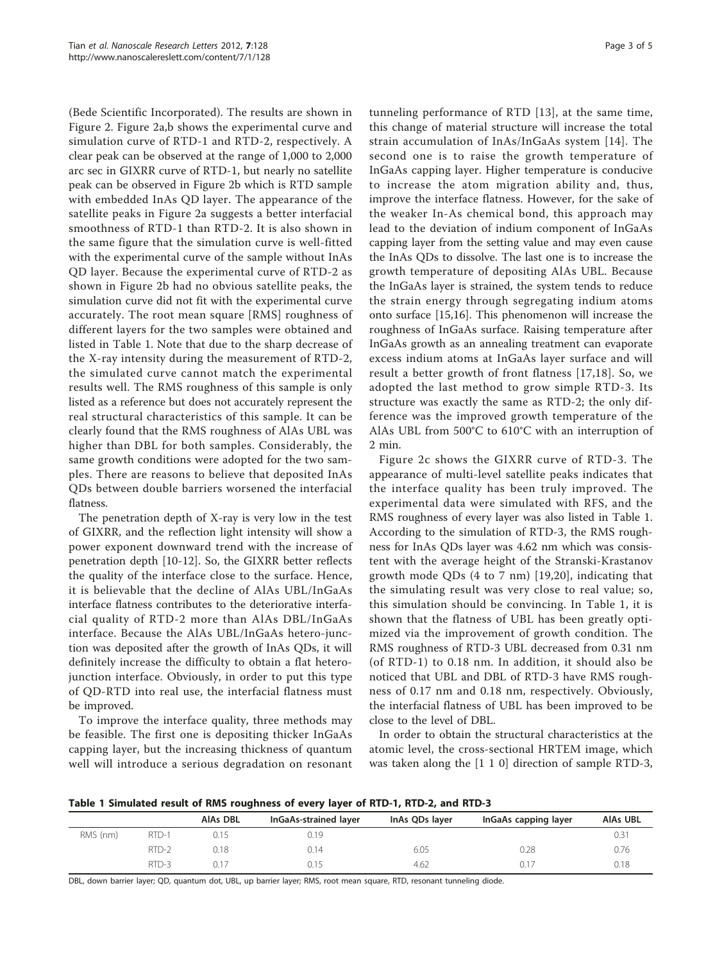(Bede Scientific Incorporated). The results are shown in Figure [2](#page-1-0). Figure [2a,b](#page-1-0) shows the experimental curve and simulation curve of RTD-1 and RTD-2, respectively. A clear peak can be observed at the range of 1,000 to 2,000 arc sec in GIXRR curve of RTD-1, but nearly no satellite peak can be observed in Figure [2b](#page-1-0) which is RTD sample with embedded InAs QD layer. The appearance of the satellite peaks in Figure [2a](#page-1-0) suggests a better interfacial smoothness of RTD-1 than RTD-2. It is also shown in the same figure that the simulation curve is well-fitted with the experimental curve of the sample without InAs QD layer. Because the experimental curve of RTD-2 as shown in Figure [2b](#page-1-0) had no obvious satellite peaks, the simulation curve did not fit with the experimental curve accurately. The root mean square [RMS] roughness of different layers for the two samples were obtained and listed in Table 1. Note that due to the sharp decrease of the X-ray intensity during the measurement of RTD-2, the simulated curve cannot match the experimental results well. The RMS roughness of this sample is only listed as a reference but does not accurately represent the real structural characteristics of this sample. It can be clearly found that the RMS roughness of AlAs UBL was higher than DBL for both samples. Considerably, the same growth conditions were adopted for the two samples. There are reasons to believe that deposited InAs QDs between double barriers worsened the interfacial flatness.

The penetration depth of X-ray is very low in the test of GIXRR, and the reflection light intensity will show a power exponent downward trend with the increase of penetration depth [\[10-12](#page-4-0)]. So, the GIXRR better reflects the quality of the interface close to the surface. Hence, it is believable that the decline of AlAs UBL/InGaAs interface flatness contributes to the deteriorative interfacial quality of RTD-2 more than AlAs DBL/InGaAs interface. Because the AlAs UBL/InGaAs hetero-junction was deposited after the growth of InAs QDs, it will definitely increase the difficulty to obtain a flat heterojunction interface. Obviously, in order to put this type of QD-RTD into real use, the interfacial flatness must be improved.

To improve the interface quality, three methods may be feasible. The first one is depositing thicker InGaAs capping layer, but the increasing thickness of quantum well will introduce a serious degradation on resonant

tunneling performance of RTD [[13](#page-4-0)], at the same time, this change of material structure will increase the total strain accumulation of InAs/InGaAs system [\[14\]](#page-4-0). The second one is to raise the growth temperature of InGaAs capping layer. Higher temperature is conducive to increase the atom migration ability and, thus, improve the interface flatness. However, for the sake of the weaker In-As chemical bond, this approach may lead to the deviation of indium component of InGaAs capping layer from the setting value and may even cause the InAs QDs to dissolve. The last one is to increase the growth temperature of depositing AlAs UBL. Because the InGaAs layer is strained, the system tends to reduce the strain energy through segregating indium atoms onto surface [\[15,16](#page-4-0)]. This phenomenon will increase the roughness of InGaAs surface. Raising temperature after InGaAs growth as an annealing treatment can evaporate excess indium atoms at InGaAs layer surface and will result a better growth of front flatness [[17,18](#page-4-0)]. So, we adopted the last method to grow simple RTD-3. Its structure was exactly the same as RTD-2; the only difference was the improved growth temperature of the AlAs UBL from 500°C to 610°C with an interruption of 2 min.

Figure [2c](#page-1-0) shows the GIXRR curve of RTD-3. The appearance of multi-level satellite peaks indicates that the interface quality has been truly improved. The experimental data were simulated with RFS, and the RMS roughness of every layer was also listed in Table 1. According to the simulation of RTD-3, the RMS roughness for InAs QDs layer was 4.62 nm which was consistent with the average height of the Stranski-Krastanov growth mode QDs (4 to 7 nm) [\[19,20](#page-4-0)], indicating that the simulating result was very close to real value; so, this simulation should be convincing. In Table 1, it is shown that the flatness of UBL has been greatly optimized via the improvement of growth condition. The RMS roughness of RTD-3 UBL decreased from 0.31 nm (of RTD-1) to 0.18 nm. In addition, it should also be noticed that UBL and DBL of RTD-3 have RMS roughness of 0.17 nm and 0.18 nm, respectively. Obviously, the interfacial flatness of UBL has been improved to be close to the level of DBL.

In order to obtain the structural characteristics at the atomic level, the cross-sectional HRTEM image, which was taken along the [1 1 0] direction of sample RTD-3,

Table 1 Simulated result of RMS roughness of every layer of RTD-1, RTD-2, and RTD-3

|          |       | AIAs DBL | InGaAs-strained layer | InAs QDs layer | InGaAs capping layer | <b>AIAs UBL</b> |
|----------|-------|----------|-----------------------|----------------|----------------------|-----------------|
| RMS (nm) | RTD-1 | 0.15     | 0.19                  |                |                      | $0.3^{\circ}$   |
|          | RTD-2 | 0.18     | 0.14                  | 6.05           | 0.28                 | 0.76            |
|          | RTD-3 | 0.17     | 0.15                  | 4.62           | 0.1                  | 0.18            |

DBL, down barrier layer; QD, quantum dot, UBL, up barrier layer; RMS, root mean square, RTD, resonant tunneling diode.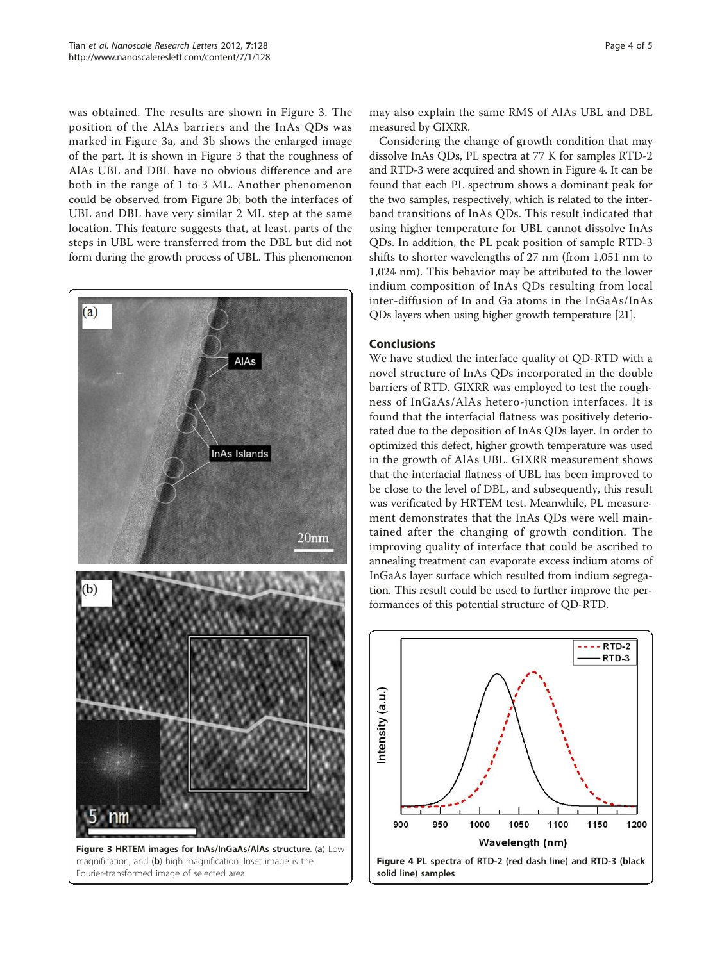was obtained. The results are shown in Figure 3. The position of the AlAs barriers and the InAs QDs was marked in Figure 3a, and 3b shows the enlarged image of the part. It is shown in Figure 3 that the roughness of AlAs UBL and DBL have no obvious difference and are both in the range of 1 to 3 ML. Another phenomenon could be observed from Figure 3b; both the interfaces of UBL and DBL have very similar 2 ML step at the same location. This feature suggests that, at least, parts of the steps in UBL were transferred from the DBL but did not form during the growth process of UBL. This phenomenon



may also explain the same RMS of AlAs UBL and DBL measured by GIXRR.

Considering the change of growth condition that may dissolve InAs QDs, PL spectra at 77 K for samples RTD-2 and RTD-3 were acquired and shown in Figure 4. It can be found that each PL spectrum shows a dominant peak for the two samples, respectively, which is related to the interband transitions of InAs QDs. This result indicated that using higher temperature for UBL cannot dissolve InAs QDs. In addition, the PL peak position of sample RTD-3 shifts to shorter wavelengths of 27 nm (from 1,051 nm to 1,024 nm). This behavior may be attributed to the lower indium composition of InAs QDs resulting from local inter-diffusion of In and Ga atoms in the InGaAs/InAs QDs layers when using higher growth temperature [\[21\]](#page-4-0).

### Conclusions

We have studied the interface quality of QD-RTD with a novel structure of InAs QDs incorporated in the double barriers of RTD. GIXRR was employed to test the roughness of InGaAs/AlAs hetero-junction interfaces. It is found that the interfacial flatness was positively deteriorated due to the deposition of InAs QDs layer. In order to optimized this defect, higher growth temperature was used in the growth of AlAs UBL. GIXRR measurement shows that the interfacial flatness of UBL has been improved to be close to the level of DBL, and subsequently, this result was verificated by HRTEM test. Meanwhile, PL measurement demonstrates that the InAs QDs were well maintained after the changing of growth condition. The improving quality of interface that could be ascribed to annealing treatment can evaporate excess indium atoms of InGaAs layer surface which resulted from indium segregation. This result could be used to further improve the performances of this potential structure of QD-RTD.